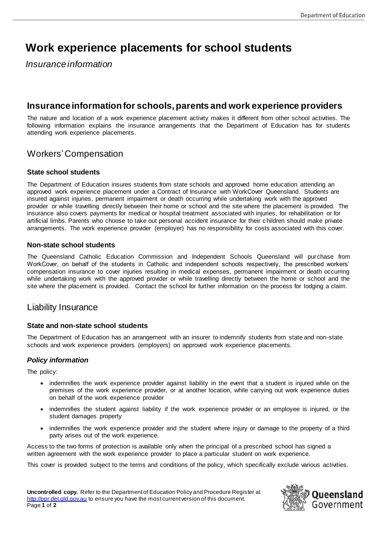# **Work experience placements for school students**

*Insurance information*

# **Insurance informationfor schools, parents and work experience providers**

The nature and location of a work experience placement activity makes it different from other school activities. The following information explains the insurance arrangements that the Department of Education has for students attending work experience placements.

## Workers' Compensation

#### **State school students**

The Department of Education insures students from state schools and approved home education attending an approved work experience placement under a Contract of Insurance with WorkCover Queensland. Students are insured against injuries, permanent impairment or death occurring while undertaking work with the approved provider or while travelling directly between their home or school and the site where the placement is provided. The insurance also covers payments for medical or hospital treatment associated with injuries, for rehabilitation or for artificial limbs. Parents who choose to take out personal accident insurance for their c hildren should make private arrangements. The work experience provider (employer) has no responsibility for costs associated with this cover.

#### **Non-state school students**

The Queensland Catholic Education Commission and Independent Schools Queensland will purchase from WorkCover, on behalf of the students in Catholic and independent schools respectively, the prescribed workers' compensation insurance to cover injuries resulting in medical expenses, permanent impairment or death occurring while undertaking work with the approved provider or while travelling directly between the home or school and the site where the placement is provided. Contact the school for further information on the process for lodging a claim.

## Liability Insurance

#### **State and non-state school students**

The Department of Education has an arrangement with an insurer to indemnify students from state and non-state schools and work experience providers (employers) on approved work experience placements.

### *Policy information*

The policy:

- indemnifies the work experience provider against liability in the event that a student is injured while on the premises of the work experience provider, or at another location, while carrying out work experience duties on behalf of the work experience provider
- indemnifies the student against liability if the work experience provider or an employee is injured, or the student damages property
- indemnifies the work experience provider and the student where injury or damage to the property of a third party arises out of the work experience.

Access to the two forms of protection is available only when the principal of a prescribed school has signed a written agreement with the work experience provider to place a particular student on work experience.

This cover is provided subject to the terms and conditions of the policy, which specifically exclude various activities.